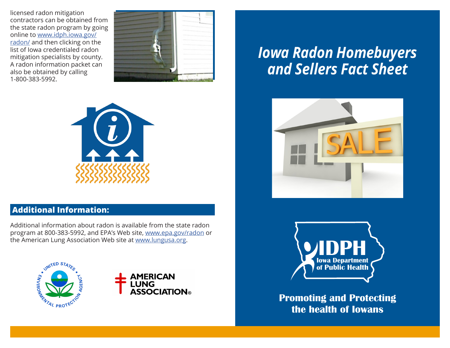licensed radon mitigation contractors can be obtained from the state radon program by going online to [www.idph.iowa.gov/](http://www.idph.iowa.gov/radon/) [radon/](http://www.idph.iowa.gov/radon/) and then clicking on the list of Iowa credentialed radon mitigation specialists by county. A radon information packet can also be obtained by calling 1-800-383-5992.





## **Additional Information:**

Additional information about radon is available from the state radon program at 800-383-5992, and EPA's Web site, [www.epa.gov/radon](http://www.epa.gov/radon) or the American Lung Association Web site at [www.lungusa.org](http://www.lungusa.org).





# *Iowa Radon Homebuyers and Sellers Fact Sheet*





**Promoting and Protecting the health of Iowans**